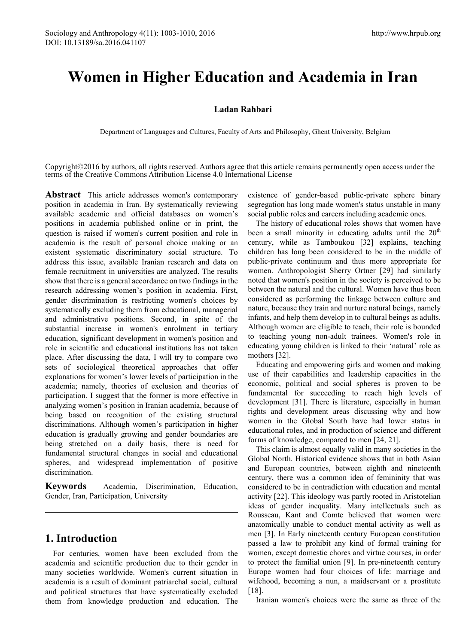# **Women in Higher Education and Academia in Iran**

#### **Ladan Rahbari**

Department of Languages and Cultures, Faculty of Arts and Philosophy, Ghent University, Belgium

Copyright©2016 by authors, all rights reserved. Authors agree that this article remains permanently open access under the terms of the Creative Commons Attribution License 4.0 International License

**Abstract** This article addresses women's contemporary position in academia in Iran. By systematically reviewing available academic and official databases on women's positions in academia published online or in print, the question is raised if women's current position and role in academia is the result of personal choice making or an existent systematic discriminatory social structure. To address this issue, available Iranian research and data on female recruitment in universities are analyzed. The results show that there is a general accordance on two findings in the research addressing women's position in academia. First, gender discrimination is restricting women's choices by systematically excluding them from educational, managerial and administrative positions. Second, in spite of the substantial increase in women's enrolment in tertiary education, significant development in women's position and role in scientific and educational institutions has not taken place. After discussing the data, I will try to compare two sets of sociological theoretical approaches that offer explanations for women's lower levels of participation in the academia; namely, theories of exclusion and theories of participation. I suggest that the former is more effective in analyzing women's position in Iranian academia, because of being based on recognition of the existing structural discriminations. Although women's participation in higher education is gradually growing and gender boundaries are being stretched on a daily basis, there is need for fundamental structural changes in social and educational spheres, and widespread implementation of positive discrimination.

**Keywords** Academia, Discrimination, Education, Gender, Iran, Participation, University

# **1. Introduction**

For centuries, women have been excluded from the academia and scientific production due to their gender in many societies worldwide. Women's current situation in academia is a result of dominant patriarchal social, cultural and political structures that have systematically excluded them from knowledge production and education. The

existence of gender-based public-private sphere binary segregation has long made women's status unstable in many social public roles and careers including academic ones.

The history of educational roles shows that women have been a small minority in educating adults until the  $20<sup>th</sup>$ century, while as Tamboukou [32] explains, teaching children has long been considered to be in the middle of public-private continuum and thus more appropriate for women. Anthropologist Sherry Ortner [29] had similarly noted that women's position in the society is perceived to be between the natural and the cultural. Women have thus been considered as performing the linkage between culture and nature, because they train and nurture natural beings, namely infants, and help them develop in to cultural beings as adults. Although women are eligible to teach, their role is bounded to teaching young non-adult trainees. Women's role in educating young children is linked to their 'natural' role as mothers [32].

Educating and empowering girls and women and making use of their capabilities and leadership capacities in the economic, political and social spheres is proven to be fundamental for succeeding to reach high levels of development [31]. There is literature, especially in human rights and development areas discussing why and how women in the Global South have had lower status in educational roles, and in production of science and different forms of knowledge, compared to men [24, 21].

This claim is almost equally valid in many societies in the Global North. Historical evidence shows that in both Asian and European countries, between eighth and nineteenth century, there was a common idea of femininity that was considered to be in contradiction with education and mental activity [22]. This ideology was partly rooted in Aristotelian ideas of gender inequality. Many intellectuals such as Rousseau, Kant and Comte believed that women were anatomically unable to conduct mental activity as well as men [3]. In Early nineteenth century European constitution passed a law to prohibit any kind of formal training for women, except domestic chores and virtue courses, in order to protect the familial union [9]. In pre-nineteenth century Europe women had four choices of life: marriage and wifehood, becoming a nun, a maidservant or a prostitute [18].

Iranian women's choices were the same as three of the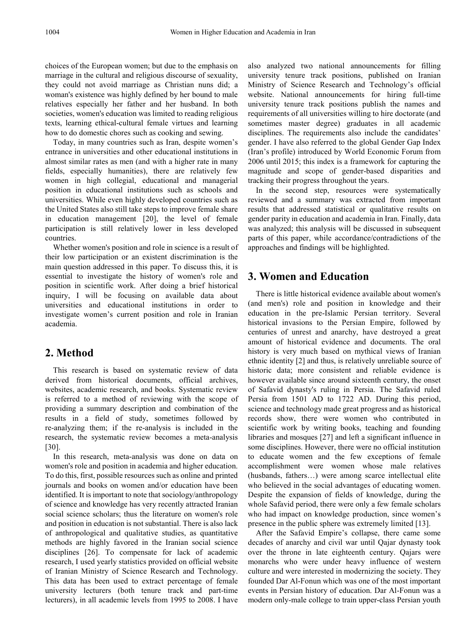choices of the European women; but due to the emphasis on marriage in the cultural and religious discourse of sexuality, they could not avoid marriage as Christian nuns did; a woman's existence was highly defined by her bound to male relatives especially her father and her husband. In both societies, women's education was limited to reading religious texts, learning ethical-cultural female virtues and learning how to do domestic chores such as cooking and sewing.

Today, in many countries such as Iran, despite women's entrance in universities and other educational institutions in almost similar rates as men (and with a higher rate in many fields, especially humanities), there are relatively few women in high collegial, educational and managerial position in educational institutions such as schools and universities. While even highly developed countries such as the United States also still take steps to improve female share in education management [20], the level of female participation is still relatively lower in less developed countries.

Whether women's position and role in science is a result of their low participation or an existent discrimination is the main question addressed in this paper. To discuss this, it is essential to investigate the history of women's role and position in scientific work. After doing a brief historical inquiry, I will be focusing on available data about universities and educational institutions in order to investigate women's current position and role in Iranian academia.

### **2. Method**

This research is based on systematic review of data derived from historical documents, official archives, websites, academic research, and books. Systematic review is referred to a method of reviewing with the scope of providing a summary description and combination of the results in a field of study, sometimes followed by re-analyzing them; if the re-analysis is included in the research, the systematic review becomes a meta-analysis [30].

In this research, meta-analysis was done on data on women's role and position in academia and higher education. To do this, first, possible resources such as online and printed journals and books on women and/or education have been identified. It is important to note that sociology/anthropology of science and knowledge has very recently attracted Iranian social science scholars; thus the literature on women's role and position in education is not substantial. There is also lack of anthropological and qualitative studies, as quantitative methods are highly favored in the Iranian social science disciplines [26]. To compensate for lack of academic research, I used yearly statistics provided on official website of Iranian Ministry of Science Research and Technology. This data has been used to extract percentage of female university lecturers (both tenure track and part-time lecturers), in all academic levels from 1995 to 2008. I have

also analyzed two national announcements for filling university tenure track positions, published on Iranian Ministry of Science Research and Technology's official website. National announcements for hiring full-time university tenure track positions publish the names and requirements of all universities willing to hire doctorate (and sometimes master degree) graduates in all academic disciplines. The requirements also include the candidates' gender. I have also referred to the global Gender Gap Index (Iran's profile) introduced by World Economic Forum from 2006 until 2015; this index is a framework for capturing the magnitude and scope of gender-based disparities and tracking their progress throughout the years.

In the second step, resources were systematically reviewed and a summary was extracted from important results that addressed statistical or qualitative results on gender parity in education and academia in Iran. Finally, data was analyzed; this analysis will be discussed in subsequent parts of this paper, while accordance/contradictions of the approaches and findings will be highlighted.

## **3. Women and Education**

There is little historical evidence available about women's (and men's) role and position in knowledge and their education in the pre-Islamic Persian territory. Several historical invasions to the Persian Empire, followed by centuries of unrest and anarchy, have destroyed a great amount of historical evidence and documents. The oral history is very much based on mythical views of Iranian ethnic identity [2] and thus, is relatively unreliable source of historic data; more consistent and reliable evidence is however available since around sixteenth century, the onset of Safavid dynasty's ruling in Persia. The Safavid ruled Persia from 1501 AD to 1722 AD. During this period, science and technology made great progress and as historical records show, there were women who contributed in scientific work by writing books, teaching and founding libraries and mosques [27] and left a significant influence in some disciplines. However, there were no official institution to educate women and the few exceptions of female accomplishment were women whose male relatives (husbands, fathers…) were among scarce intellectual elite who believed in the social advantages of educating women. Despite the expansion of fields of knowledge, during the whole Safavid period, there were only a few female scholars who had impact on knowledge production, since women's presence in the public sphere was extremely limited [13].

After the Safavid Empire's collapse, there came some decades of anarchy and civil war until Qajar dynasty took over the throne in late eighteenth century. Qajars were monarchs who were under heavy influence of western culture and were interested in modernizing the society. They founded Dar Al-Fonun which was one of the most important events in Persian history of education. Dar Al-Fonun was a modern only-male college to train upper-class Persian youth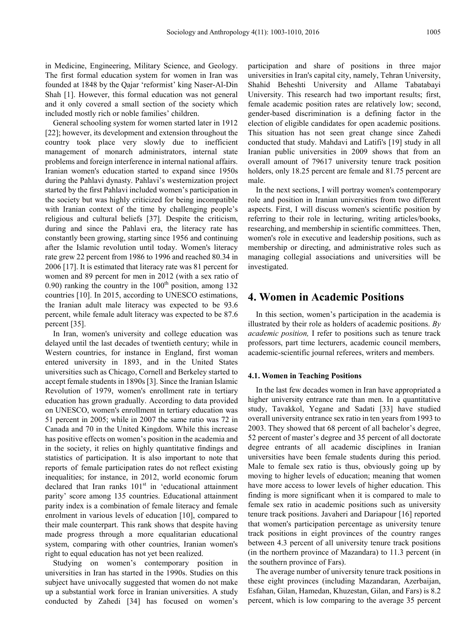in Medicine, Engineering, Military Science, and Geology. The first formal education system for women in Iran was founded at 1848 by the Qajar 'reformist' king Naser-Al-Din Shah [1]. However, this formal education was not general and it only covered a small section of the society which included mostly rich or noble families' children.

General schooling system for women started later in 1912 [22]; however, its development and extension throughout the country took place very slowly due to inefficient management of monarch administrators, internal state problems and foreign interference in internal national affairs. Iranian women's education started to expand since 1950s during the Pahlavi dynasty. Pahlavi's westernization project started by the first Pahlavi included women's participation in the society but was highly criticized for being incompatible with Iranian context of the time by challenging people's religious and cultural beliefs [37]. Despite the criticism, during and since the Pahlavi era, the literacy rate has constantly been growing, starting since 1956 and continuing after the Islamic revolution until today. Women's literacy rate grew 22 percent from 1986 to 1996 and reached 80.34 in 2006 [17]. It is estimated that literacy rate was 81 percent for women and 89 percent for men in 2012 (with a sex ratio of 0.90) ranking the country in the  $100<sup>th</sup>$  position, among 132 countries [10]. In 2015, according to UNESCO estimations, the Iranian adult male literacy was expected to be 93.6 percent, while female adult literacy was expected to be 87.6 percent [35].

In Iran, women's university and college education was delayed until the last decades of twentieth century; while in Western countries, for instance in England, first woman entered university in 1893, and in the United States universities such as Chicago, Cornell and Berkeley started to accept female students in 1890s [3]. Since the Iranian Islamic Revolution of 1979, women's enrollment rate in tertiary education has grown gradually. According to data provided on UNESCO, women's enrollment in tertiary education was 51 percent in 2005; while in 2007 the same ratio was 72 in Canada and 70 in the United Kingdom. While this increase has positive effects on women's position in the academia and in the society, it relies on highly quantitative findings and statistics of participation. It is also important to note that reports of female participation rates do not reflect existing inequalities; for instance, in 2012, world economic forum declared that Iran ranks 101<sup>st</sup> in 'educational attainment parity' score among 135 countries. Educational attainment parity index is a combination of female literacy and female enrolment in various levels of education [10], compared to their male counterpart. This rank shows that despite having made progress through a more equalitarian educational system, comparing with other countries, Iranian women's right to equal education has not yet been realized.

Studying on women's contemporary position in universities in Iran has started in the 1990s. Studies on this subject have univocally suggested that women do not make up a substantial work force in Iranian universities. A study conducted by Zahedi [34] has focused on women's

participation and share of positions in three major universities in Iran's capital city, namely, Tehran University, Shahid Beheshti University and Allame Tabatabayi University. This research had two important results; first, female academic position rates are relatively low; second, gender-based discrimination is a defining factor in the election of eligible candidates for open academic positions. This situation has not seen great change since Zahedi conducted that study. Mahdavi and Latifi's [19] study in all Iranian public universities in 2009 shows that from an overall amount of 79617 university tenure track position holders, only 18.25 percent are female and 81.75 percent are male.

In the next sections, I will portray women's contemporary role and position in Iranian universities from two different aspects. First, I will discuss women's scientific position by referring to their role in lecturing, writing articles/books, researching, and membership in scientific committees. Then, women's role in executive and leadership positions, such as membership or directing, and administrative roles such as managing collegial associations and universities will be investigated.

### **4. Women in Academic Positions**

In this section, women's participation in the academia is illustrated by their role as holders of academic positions. *By academic position,* I refer to positions such as tenure track professors, part time lecturers, academic council members, academic-scientific journal referees, writers and members.

#### **4.1. Women in Teaching Positions**

In the last few decades women in Iran have appropriated a higher university entrance rate than men. In a quantitative study, Tavakkol, Yegane and Sadati [33] have studied overall university entrance sex ratio in ten years from 1993 to 2003. They showed that 68 percent of all bachelor's degree, 52 percent of master's degree and 35 percent of all doctorate degree entrants of all academic disciplines in Iranian universities have been female students during this period. Male to female sex ratio is thus, obviously going up by moving to higher levels of education; meaning that women have more access to lower levels of higher education. This finding is more significant when it is compared to male to female sex ratio in academic positions such as university tenure track positions. Javaheri and Dariapour [16] reported that women's participation percentage as university tenure track positions in eight provinces of the country ranges between 4.3 percent of all university tenure track positions (in the northern province of Mazandara) to 11.3 percent (in the southern province of Fars).

The average number of university tenure track positions in these eight provinces (including Mazandaran, Azerbaijan, Esfahan, Gilan, Hamedan, Khuzestan, Gilan, and Fars) is 8.2 percent, which is low comparing to the average 35 percent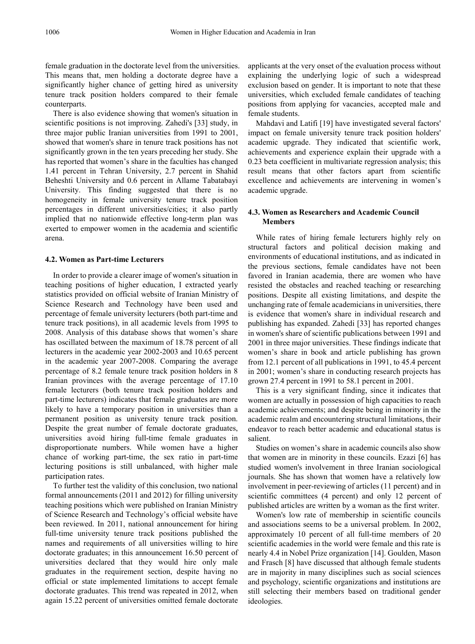female graduation in the doctorate level from the universities. This means that, men holding a doctorate degree have a significantly higher chance of getting hired as university tenure track position holders compared to their female counterparts.

There is also evidence showing that women's situation in scientific positions is not improving. Zahedi's [33] study, in three major public Iranian universities from 1991 to 2001, showed that women's share in tenure track positions has not significantly grown in the ten years preceding her study. She has reported that women's share in the faculties has changed 1.41 percent in Tehran University, 2.7 percent in Shahid Beheshti University and 0.6 percent in Allame Tabatabayi University. This finding suggested that there is no homogeneity in female university tenure track position percentages in different universities/cities; it also partly implied that no nationwide effective long-term plan was exerted to empower women in the academia and scientific arena.

#### **4.2. Women as Part-time Lecturers**

In order to provide a clearer image of women's situation in teaching positions of higher education, I extracted yearly statistics provided on official website of Iranian Ministry of Science Research and Technology have been used and percentage of female university lecturers (both part-time and tenure track positions), in all academic levels from 1995 to 2008. Analysis of this database shows that women's share has oscillated between the maximum of 18.78 percent of all lecturers in the academic year 2002-2003 and 10.65 percent in the academic year 2007-2008. Comparing the average percentage of 8.2 female tenure track position holders in 8 Iranian provinces with the average percentage of 17.10 female lecturers (both tenure track position holders and part-time lecturers) indicates that female graduates are more likely to have a temporary position in universities than a permanent position as university tenure track position. Despite the great number of female doctorate graduates, universities avoid hiring full-time female graduates in disproportionate numbers. While women have a higher chance of working part-time, the sex ratio in part-time lecturing positions is still unbalanced, with higher male participation rates.

To further test the validity of this conclusion, two national formal announcements (2011 and 2012) for filling university teaching positions which were published on Iranian Ministry of Science Research and Technology's official website have been reviewed. In 2011, national announcement for hiring full-time university tenure track positions published the names and requirements of all universities willing to hire doctorate graduates; in this announcement 16.50 percent of universities declared that they would hire only male graduates in the requirement section, despite having no official or state implemented limitations to accept female doctorate graduates. This trend was repeated in 2012, when again 15.22 percent of universities omitted female doctorate

applicants at the very onset of the evaluation process without explaining the underlying logic of such a widespread exclusion based on gender. It is important to note that these universities, which excluded female candidates of teaching positions from applying for vacancies, accepted male and female students.

Mahdavi and Latifi [19] have investigated several factors' impact on female university tenure track position holders' academic upgrade. They indicated that scientific work, achievements and experience explain their upgrade with a 0.23 beta coefficient in multivariate regression analysis; this result means that other factors apart from scientific excellence and achievements are intervening in women's academic upgrade.

#### **4.3. Women as Researchers and Academic Council Members**

While rates of hiring female lecturers highly rely on structural factors and political decision making and environments of educational institutions, and as indicated in the previous sections, female candidates have not been favored in Iranian academia, there are women who have resisted the obstacles and reached teaching or researching positions. Despite all existing limitations, and despite the unchanging rate of female academicians in universities, there is evidence that women's share in individual research and publishing has expanded. Zahedi [33] has reported changes in women's share of scientific publications between 1991 and 2001 in three major universities. These findings indicate that women's share in book and article publishing has grown from 12.1 percent of all publications in 1991, to 45.4 percent in 2001; women's share in conducting research projects has grown 27.4 percent in 1991 to 58.1 percent in 2001.

This is a very significant finding, since it indicates that women are actually in possession of high capacities to reach academic achievements; and despite being in minority in the academic realm and encountering structural limitations, their endeavor to reach better academic and educational status is salient.

Studies on women's share in academic councils also show that women are in minority in these councils. Ezazi [6] has studied women's involvement in three Iranian sociological journals. She has shown that women have a relatively low involvement in peer-reviewing of articles (11 percent) and in scientific committees (4 percent) and only 12 percent of published articles are written by a woman as the first writer.

Women's low rate of membership in scientific councils and associations seems to be a universal problem. In 2002, approximately 10 percent of all full-time members of 20 scientific academies in the world were female and this rate is nearly 4.4 in Nobel Prize organization [14]. Goulden, Mason and Frasch [8] have discussed that although female students are in majority in many disciplines such as social sciences and psychology, scientific organizations and institutions are still selecting their members based on traditional gender ideologies.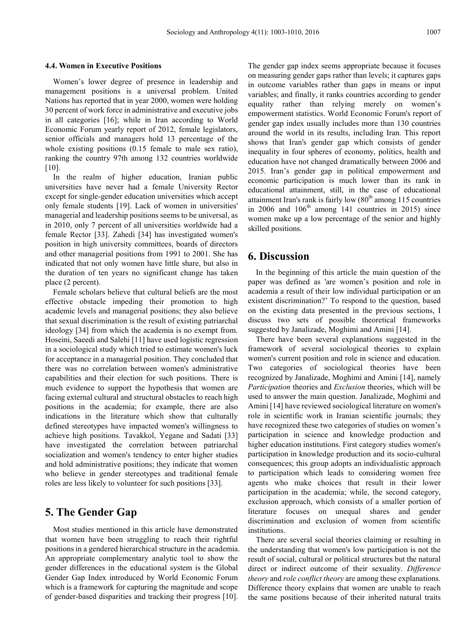#### **4.4. Women in Executive Positions**

Women's lower degree of presence in leadership and management positions is a universal problem. United Nations has reported that in year 2000, women were holding 30 percent of work force in administrative and executive jobs in all categories [16]; while in Iran according to World Economic Forum yearly report of 2012, female legislators, senior officials and managers hold 13 percentage of the whole existing positions  $(0.15$  female to male sex ratio), ranking the country 97th among 132 countries worldwide [10].

In the realm of higher education, Iranian public universities have never had a female University Rector except for single-gender education universities which accept only female students [19]. Lack of women in universities' managerial and leadership positions seems to be universal, as in 2010, only 7 percent of all universities worldwide had a female Rector [33]. Zahedi [34] has investigated women's position in high university committees, boards of directors and other managerial positions from 1991 to 2001. She has indicated that not only women have little share, but also in the duration of ten years no significant change has taken place (2 percent).

Female scholars believe that cultural beliefs are the most effective obstacle impeding their promotion to high academic levels and managerial positions; they also believe that sexual discrimination is the result of existing patriarchal ideology [34] from which the academia is no exempt from. Hoseini, Saeedi and Salehi [11] have used logistic regression in a sociological study which tried to estimate women's luck for acceptance in a managerial position. They concluded that there was no correlation between women's administrative capabilities and their election for such positions. There is much evidence to support the hypothesis that women are facing external cultural and structural obstacles to reach high positions in the academia; for example, there are also indications in the literature which show that culturally defined stereotypes have impacted women's willingness to achieve high positions. Tavakkol, Yegane and Sadati [33] have investigated the correlation between patriarchal socialization and women's tendency to enter higher studies and hold administrative positions; they indicate that women who believe in gender stereotypes and traditional female roles are less likely to volunteer for such positions [33].

### **5. The Gender Gap**

Most studies mentioned in this article have demonstrated that women have been struggling to reach their rightful positions in a gendered hierarchical structure in the academia. An appropriate complementary analytic tool to show the gender differences in the educational system is the Global Gender Gap Index introduced by World Economic Forum which is a framework for capturing the magnitude and scope of gender-based disparities and tracking their progress [10].

The gender gap index seems appropriate because it focuses on measuring gender gaps rather than levels; it captures gaps in outcome variables rather than gaps in means or input variables; and finally, it ranks countries according to gender equality rather than relying merely on women's empowerment statistics. World Economic Forum's report of gender gap index usually includes more than 130 countries around the world in its results, including Iran. This report shows that Iran's gender gap which consists of gender inequality in four spheres of economy, politics, health and education have not changed dramatically between 2006 and 2015. Iran's gender gap in political empowerment and economic participation is much lower than its rank in educational attainment, still, in the case of educational attainment Iran's rank is fairly low  $(80<sup>th</sup>$  among 115 countries in 2006 and  $106<sup>th</sup>$  among 141 countries in 2015) since women make up a low percentage of the senior and highly skilled positions.

### **6. Discussion**

In the beginning of this article the main question of the paper was defined as 'are women's position and role in academia a result of their low individual participation or an existent discrimination?' To respond to the question, based on the existing data presented in the previous sections, I discuss two sets of possible theoretical frameworks suggested by Janalizade, Moghimi and Amini [14].

There have been several explanations suggested in the framework of several sociological theories to explain women's current position and role in science and education. Two categories of sociological theories have been recognized by Janalizade, Moghimi and Amini [14], namely *Participation* theories and *Exclusion* theories, which will be used to answer the main question. Janalizade, Moghimi and Amini [14] have reviewed sociological literature on women's role in scientific work in Iranian scientific journals; they have recognized these two categories of studies on women's participation in science and knowledge production and higher education institutions. First category studies women's participation in knowledge production and its socio-cultural consequences; this group adopts an individualistic approach to participation which leads to considering women free agents who make choices that result in their lower participation in the academia; while, the second category, exclusion approach, which consists of a smaller portion of literature focuses on unequal shares and gender discrimination and exclusion of women from scientific institutions.

There are several social theories claiming or resulting in the understanding that women's low participation is not the result of social, cultural or political structures but the natural direct or indirect outcome of their sexuality. *Difference theory* and *role conflict theory* are among these explanations. Difference theory explains that women are unable to reach the same positions because of their inherited natural traits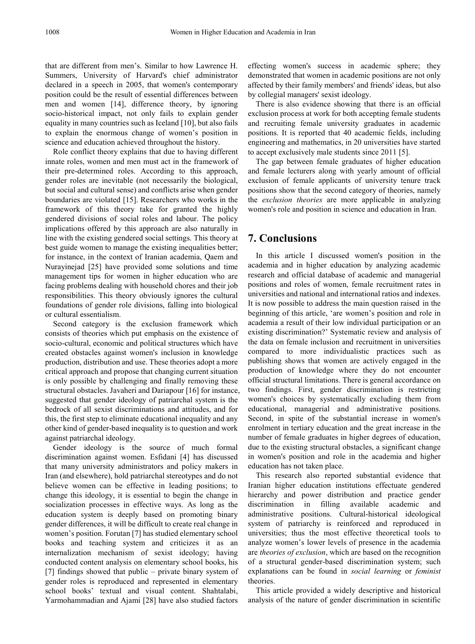that are different from men's. Similar to how Lawrence H. Summers, University of Harvard's chief administrator declared in a speech in 2005, that women's contemporary position could be the result of essential differences between men and women [14], difference theory, by ignoring socio-historical impact, not only fails to explain gender equality in many countries such as Iceland [10], but also fails to explain the enormous change of women's position in science and education achieved throughout the history.

Role conflict theory explains that due to having different innate roles, women and men must act in the framework of their pre-determined roles. According to this approach, gender roles are inevitable (not necessarily the biological, but social and cultural sense) and conflicts arise when gender boundaries are violated [15]. Researchers who works in the framework of this theory take for granted the highly gendered divisions of social roles and labour. The policy implications offered by this approach are also naturally in line with the existing gendered social settings. This theory at best guide women to manage the existing inequalities better; for instance, in the context of Iranian academia, Qaem and Nurayinejad [25] have provided some solutions and time management tips for women in higher education who are facing problems dealing with household chores and their job responsibilities. This theory obviously ignores the cultural foundations of gender role divisions, falling into biological or cultural essentialism.

Second category is the exclusion framework which consists of theories which put emphasis on the existence of socio-cultural, economic and political structures which have created obstacles against women's inclusion in knowledge production, distribution and use. These theories adopt a more critical approach and propose that changing current situation is only possible by challenging and finally removing these structural obstacles. Javaheri and Dariapour [16] for instance, suggested that gender ideology of patriarchal system is the bedrock of all sexist discriminations and attitudes, and for this, the first step to eliminate educational inequality and any other kind of gender-based inequality is to question and work against patriarchal ideology.

Gender ideology is the source of much formal discrimination against women. Esfidani [4] has discussed that many university administrators and policy makers in Iran (and elsewhere), hold patriarchal stereotypes and do not believe women can be effective in leading positions; to change this ideology, it is essential to begin the change in socialization processes in effective ways. As long as the education system is deeply based on promoting binary gender differences, it will be difficult to create real change in women's position. Forutan [7] has studied elementary school books and teaching system and criticizes it as an internalization mechanism of sexist ideology; having conducted content analysis on elementary school books, his [7] findings showed that public – private binary system of gender roles is reproduced and represented in elementary school books' textual and visual content. Shahtalabi, Yarmohammadian and Ajami [28] have also studied factors

effecting women's success in academic sphere; they demonstrated that women in academic positions are not only affected by their family members' and friends' ideas, but also by collegial managers' sexist ideology.

There is also evidence showing that there is an official exclusion process at work for both accepting female students and recruiting female university graduates in academic positions. It is reported that 40 academic fields, including engineering and mathematics, in 20 universities have started to accept exclusively male students since 2011 [5].

The gap between female graduates of higher education and female lecturers along with yearly amount of official exclusion of female applicants of university tenure track positions show that the second category of theories, namely the *exclusion theories* are more applicable in analyzing women's role and position in science and education in Iran.

# **7. Conclusions**

In this article I discussed women's position in the academia and in higher education by analyzing academic research and official database of academic and managerial positions and roles of women, female recruitment rates in universities and national and international ratios and indexes. It is now possible to address the main question raised in the beginning of this article, 'are women's position and role in academia a result of their low individual participation or an existing discrimination?' Systematic review and analysis of the data on female inclusion and recruitment in universities compared to more individualistic practices such as publishing shows that women are actively engaged in the production of knowledge where they do not encounter official structural limitations. There is general accordance on two findings. First, gender discrimination is restricting women's choices by systematically excluding them from educational, managerial and administrative positions. Second, in spite of the substantial increase in women's enrolment in tertiary education and the great increase in the number of female graduates in higher degrees of education, due to the existing structural obstacles, a significant change in women's position and role in the academia and higher education has not taken place.

This research also reported substantial evidence that Iranian higher education institutions effectuate gendered hierarchy and power distribution and practice gender discrimination in filling available academic and administrative positions. Cultural-historical ideological system of patriarchy is reinforced and reproduced in universities; thus the most effective theoretical tools to analyze women's lower levels of presence in the academia are *theories of exclusion*, which are based on the recognition of a structural gender-based discrimination system; such explanations can be found in *social learning* or *feminist* theories.

This article provided a widely descriptive and historical analysis of the nature of gender discrimination in scientific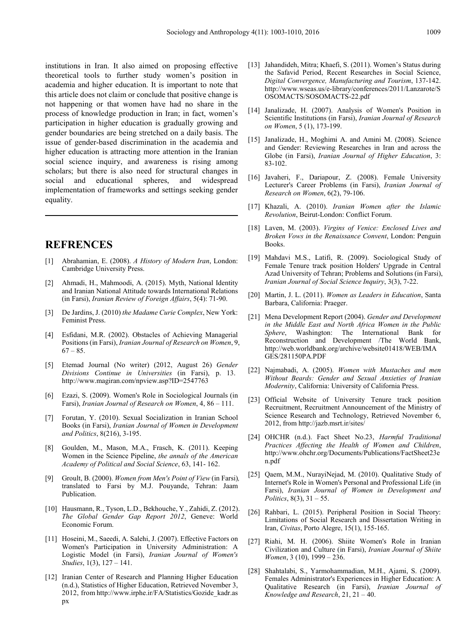institutions in Iran. It also aimed on proposing effective theoretical tools to further study women's position in academia and higher education. It is important to note that this article does not claim or conclude that positive change is not happening or that women have had no share in the process of knowledge production in Iran; in fact, women's participation in higher education is gradually growing and gender boundaries are being stretched on a daily basis. The issue of gender-based discrimination in the academia and higher education is attracting more attention in the Iranian social science inquiry, and awareness is rising among scholars; but there is also need for structural changes in social and educational spheres, and widespread implementation of frameworks and settings seeking gender equality.

# **REFRENCES**

- [1] Abrahamian, E. (2008). *A History of Modern Iran*, London: Cambridge University Press.
- [2] Ahmadi, H., Mahmoodi, A. (2015). Myth, National Identity and Iranian National Attitude towards International Relations (in Farsi), *Iranian Review of Foreign Affairs*, 5(4): 71-90.
- [3] De Jardins, J. (2010) *the Madame Curie Complex*, New York: Feminist Press.
- [4] Esfidani, M.R. (2002). Obstacles of Achieving Managerial Positions (in Farsi), *Iranian Journal of Research on Women*, 9,  $67 - 85$ .
- [5] Etemad Journal (No writer) (2012, August 26) *Gender Divisions Continue in Universities* (in Farsi), p. 13. http://www.magiran.com/npview.asp?ID=2547763
- [6] Ezazi, S. (2009). Women's Role in Sociological Journals (in Farsi), *Iranian Journal of Research on Women*, 4, 86 – 111.
- [7] Forutan, Y. (2010). Sexual Socialization in Iranian School Books (in Farsi), *Iranian Journal of Women in Development and Politics*, 8(216), 3-195.
- [8] Goulden, M., Mason, M.A., Frasch, K. (2011). Keeping Women in the Science Pipeline, *the annals of the American Academy of Political and Social Science*, 63, 141- 162.
- [9] Groult, B. (2000). *Women from Men's Point of View* (in Farsi)*,* translated to Farsi by M.J. Pouyande, Tehran: Jaam Publication.
- [10] Hausmann, R., Tyson, L.D., Bekhouche, Y., Zahidi, Z. (2012). *The Global Gender Gap Report 2012*, Geneve: World Economic Forum.
- [11] Hoseini, M., Saeedi, A. Salehi, J. (2007). Effective Factors on Women's Participation in University Administration: A Logistic Model (in Farsi), *Iranian Journal of Women's Studies*, 1(3), 127 – 141.
- [12] Iranian Center of Research and Planning Higher Education (n.d.), Statistics of Higher Education, Retrieved November 3, 2012, from http://www.irphe.ir/FA/Statistics/Gozide\_kadr.as px
- [13] Jahandideh, Mitra; Khaefi, S. (2011). Women's Status during the Safavid Period, Recent Researches in Social Science, *Digital Convergence, Manufacturing and Tourism*, 137-142. http://www.wseas.us/e-library/conferences/2011/Lanzarote/S OSOMACTS/SOSOMACTS-22.pdf
- [14] Janalizade, H. (2007). Analysis of Women's Position in Scientific Institutions (in Farsi), *Iranian Journal of Research on Women*, 5 (1), 173-199.
- [15] Janalizade, H., Moghimi A. and Amini M. (2008). Science and Gender: Reviewing Researches in Iran and across the Globe (in Farsi), *Iranian Journal of Higher Education*, 3: 83-102.
- [16] Javaheri, F., Dariapour, Z. (2008). Female University Lecturer's Career Problems (in Farsi), *Iranian Journal of Research on Women*, 6(2), 79-106.
- [17] Khazali, A. (2010). *Iranian Women after the Islamic Revolution*, Beirut-London: Conflict Forum.
- [18] Laven, M. (2003). *Virgins of Venice: Enclosed Lives and Broken Vows in the Renaissance Convent*, London: Penguin Books.
- [19] Mahdavi M.S., Latifi, R. (2009). Sociological Study of Female Tenure track position Holders' Upgrade in Central Azad University of Tehran; Problems and Solutions (in Farsi), *Iranian Journal of Social Science Inquiry*, 3(3), 7-22.
- [20] Martin, J. L. (2011). *Women as Leaders in Education*, Santa Barbara, California: Praeger.
- [21] Mena Development Report (2004). *Gender and Development in the Middle East and North Africa Women in the Public Sphere*, Washington: The International Bank for Reconstruction and Development /The World Bank, http://web.worldbank.org/archive/website01418/WEB/IMA GES/281150PA.PDF
- [22] Najmabadi, A. (2005). *Women with Mustaches and men Without Beards: Gender and Sexual Anxieties of Iranian Modernity*, California: University of California Press.
- [23] Official Website of University Tenure track position Recruitment, Recruitment Announcement of the Ministry of Science Research and Technology, Retrieved November 6, 2012, from http://jazb.msrt.ir/sites/
- [24] OHCHR (n.d.). Fact Sheet No.23, *Harmful Traditional Practices Affecting the Health of Women and Children*, http://www.ohchr.org/Documents/Publications/FactSheet23e n.pdf
- [25] Qaem, M.M., NurayiNejad, M. (2010). Qualitative Study of Internet's Role in Women's Personal and Professional Life (in Farsi), *Iranian Journal of Women in Development and Politics*, 8(3), 31 – 55.
- [26] Rahbari, L. (2015). Peripheral Position in Social Theory: Limitations of Social Research and Dissertation Writing in Iran, *Civitas*, Porto Alegre, 15(1), 155-165.
- [27] Riahi, M. H. (2006). Shiite Women's Role in Iranian Civilization and Culture (in Farsi), *Iranian Journal of Shiite Women*, 3 (10), 1999 – 236.
- [28] Shahtalabi, S., Yarmohammadian, M.H., Ajami, S. (2009). Females Administrator's Experiences in Higher Education: A Qualitative Research (in Farsi), *Iranian Journal of Knowledge and Research*, 21, 21 – 40.